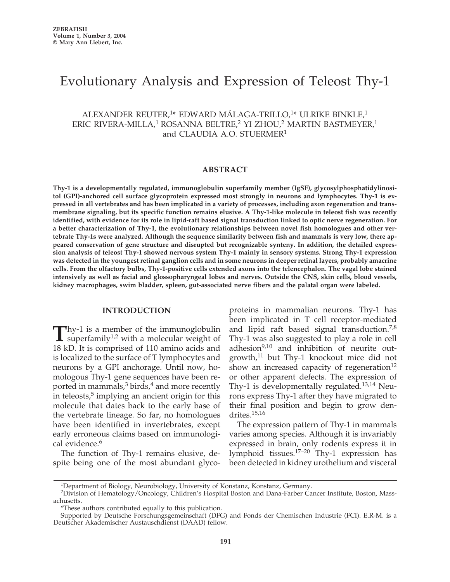# Evolutionary Analysis and Expression of Teleost Thy-1

# ALEXANDER REUTER,1\* EDWARD MÁLAGA-TRILLO,1\* ULRIKE BINKLE,1 ERIC RIVERA-MILLA,<sup>1</sup> ROSANNA BELTRE,<sup>2</sup> YI ZHOU,<sup>2</sup> MARTIN BASTMEYER,<sup>1</sup> and CLAUDIA A.O. STUERMER<sup>1</sup>

## **ABSTRACT**

**Thy-1 is a developmentally regulated, immunoglobulin superfamily member (IgSF), glycosylphosphatidylinositol (GPI)-anchored cell surface glycoprotein expressed most strongly in neurons and lymphocytes. Thy-1 is expressed in all vertebrates and has been implicated in a variety of processes, including axon regeneration and transmembrane signaling, but its specific function remains elusive. A Thy-1-like molecule in teleost fish was recently identified, with evidence for its role in lipid-raft based signal transduction linked to optic nerve regeneration. For a better characterization of Thy-1, the evolutionary relationships between novel fish homologues and other vertebrate Thy-1s were analyzed. Although the sequence similarity between fish and mammals is very low, there appeared conservation of gene structure and disrupted but recognizable synteny. In addition, the detailed expression analysis of teleost Thy-1 showed nervous system Thy-1 mainly in sensory systems. Strong Thy-1 expression was detected in the youngest retinal ganglion cells and in some neurons in deeper retinal layers, probably amacrine cells. From the olfactory bulbs, Thy-1-positive cells extended axons into the telencephalon. The vagal lobe stained intensively as well as facial and glossopharyngeal lobes and nerves. Outside the CNS, skin cells, blood vessels, kidney macrophages, swim bladder, spleen, gut-associated nerve fibers and the palatal organ were labeled.** 

#### **INTRODUCTION**

 $\sum$ hy-1 is a member of the immunoglobulin<br>superfamily<sup>1,2</sup> with a molecular weight of 18 kD. It is comprised of 110 amino acids and is localized to the surface of T lymphocytes and neurons by a GPI anchorage. Until now, homologous Thy-1 gene sequences have been reported in mammals, $3 \text{ birds}, \frac{4}{3}$  and more recently in teleosts, $5$  implying an ancient origin for this molecule that dates back to the early base of the vertebrate lineage. So far, no homologues have been identified in invertebrates, except early erroneous claims based on immunological evidence.<sup>6</sup>

The function of Thy-1 remains elusive, despite being one of the most abundant glyco-

proteins in mammalian neurons. Thy-1 has been implicated in T cell receptor-mediated and lipid raft based signal transduction.<sup>7,8</sup> Thy-1 was also suggested to play a role in cell adhesion<sup>9,10</sup> and inhibition of neurite outgrowth, $11$  but Thy-1 knockout mice did not show an increased capacity of regeneration $12$ or other apparent defects. The expression of Thy-1 is developmentally regulated.<sup>13,14</sup> Neurons express Thy-1 after they have migrated to their final position and begin to grow dendrites.15,16

The expression pattern of Thy-1 in mammals varies among species. Although it is invariably expressed in brain, only rodents express it in lymphoid tissues.17–20 Thy-1 expression has been detected in kidney urothelium and visceral

<sup>1</sup>Department of Biology, Neurobiology, University of Konstanz, Konstanz, Germany.

<sup>2</sup>Division of Hematology/Oncology, Children's Hospital Boston and Dana-Farber Cancer Institute, Boston, Massachusetts.

<sup>\*</sup>These authors contributed equally to this publication.

Supported by Deutsche Forschungsgemeinschaft (DFG) and Fonds der Chemischen Industrie (FCI). E.R-M. is a Deutscher Akademischer Austauschdienst (DAAD) fellow.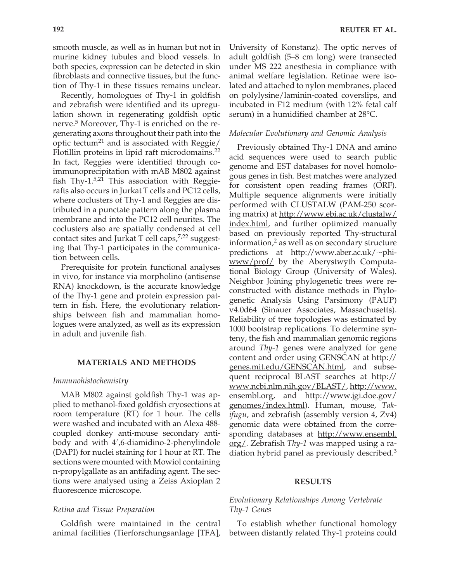smooth muscle, as well as in human but not in murine kidney tubules and blood vessels. In both species, expression can be detected in skin fibroblasts and connective tissues, but the function of Thy-1 in these tissues remains unclear.

Recently, homologues of Thy-1 in goldfish and zebrafish were identified and its upregulation shown in regenerating goldfish optic nerve.<sup>5</sup> Moreover, Thy-1 is enriched on the regenerating axons throughout their path into the optic tectum<sup>21</sup> and is associated with Reggie/ Flotillin proteins in lipid raft microdomains.<sup>22</sup> In fact, Reggies were identified through coimmunoprecipitation with mAB M802 against fish Thy- $1.5,21$  This association with Reggierafts also occurs in Jurkat T cells and PC12 cells, where coclusters of Thy-1 and Reggies are distributed in a punctate pattern along the plasma membrane and into the PC12 cell neurites. The coclusters also are spatially condensed at cell contact sites and Jurkat T cell caps, $7,22$  suggesting that Thy-1 participates in the communication between cells.

Prerequisite for protein functional analyses in vivo, for instance via morpholino (antisense RNA) knockdown, is the accurate knowledge of the Thy-1 gene and protein expression pattern in fish. Here, the evolutionary relationships between fish and mammalian homologues were analyzed, as well as its expression in adult and juvenile fish.

## **MATERIALS AND METHODS**

#### *Immunohistochemistry*

MAB M802 against goldfish Thy-1 was applied to methanol-fixed goldfish cryosections at room temperature (RT) for 1 hour. The cells were washed and incubated with an Alexa 488 coupled donkey anti-mouse secondary antibody and with 4',6-diamidino-2-phenylindole (DAPI) for nuclei staining for 1 hour at RT. The sections were mounted with Mowiol containing n-propylgallate as an antifading agent. The sections were analysed using a Zeiss Axioplan 2 fluorescence microscope.

#### *Retina and Tissue Preparation*

Goldfish were maintained in the central animal facilities (Tierforschungsanlage [TFA], University of Konstanz). The optic nerves of adult goldfish (5–8 cm long) were transected under MS 222 anesthesia in compliance with animal welfare legislation. Retinae were isolated and attached to nylon membranes, placed on polylysine/laminin-coated coverslips, and incubated in F12 medium (with 12% fetal calf serum) in a humidified chamber at 28°C.

#### *Molecular Evolutionary and Genomic Analysis*

Previously obtained Thy-1 DNA and amino acid sequences were used to search public genome and EST databases for novel homologous genes in fish. Best matches were analyzed for consistent open reading frames (ORF). Multiple sequence alignments were initially performed with CLUSTALW (PAM-250 scoring matrix) at http://www.ebi.ac.uk/clustalw/ index.html, and further optimized manually based on previously reported Thy-structural information, $\frac{2}{3}$  as well as on secondary structure predictions at  $http://www.aber.ac.uk/~phi-$ </u> www/prof/ by the Aberystwyth Computational Biology Group (University of Wales). Neighbor Joining phylogenetic trees were reconstructed with distance methods in Phylogenetic Analysis Using Parsimony (PAUP) v4.0d64 (Sinauer Associates, Massachusetts). Reliability of tree topologies was estimated by 1000 bootstrap replications. To determine synteny, the fish and mammalian genomic regions around *Thy-1* genes were analyzed for gene content and order using GENSCAN at http:// genes.mit.edu/GENSCAN.html, and subsequent reciprocal BLAST searches at http:// www.ncbi.nlm.nih.gov/BLAST/, http://www. ensembl.org, and http://www.jgi.doe.gov/ genomes/index.html). Human, mouse, *Takifugu*, and zebrafish (assembly version 4, Zv4) genomic data were obtained from the corresponding databases at http://www.ensembl. org/. Zebrafish *Thy-1* was mapped using a radiation hybrid panel as previously described.3

#### **RESULTS**

# *Evolutionary Relationships Among Vertebrate Thy-1 Genes*

To establish whether functional homology between distantly related Thy-1 proteins could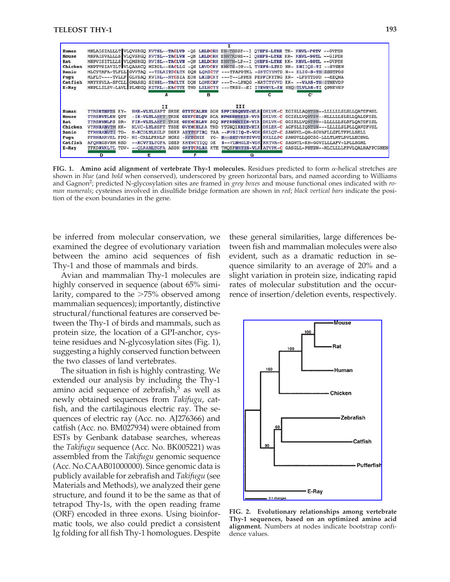| Human   |                       |                                 |   | MNLAISIALLLT VLOVSRGO KVTSL--TACLVD -OS LRLDCRH EN-TSSSP--I OYEFS-LTRE TK- KHVL-FGTV --GVPEH |                                                                                                               |
|---------|-----------------------|---------------------------------|---|----------------------------------------------------------------------------------------------|---------------------------------------------------------------------------------------------------------------|
| Mouse   |                       |                                 |   | MNPAISVALLLS VLOVSRGO KVTSL--TACLVN -ON LRLDCRH ENNTKDNS--I OHEFS-LTRE KR- KHVL-SGTL --GIPEH |                                                                                                               |
| Rat     |                       |                                 |   | MNPVISITLLLS VLQMSRGQ RVISL--TACLVN -QN LRLDCRH ENNTN-LP--I QHEFS-LTRE KK- KHVL-SGTL --GVPEH |                                                                                                               |
| Chicken |                       |                                 |   | MNPTVSIAVILT VLOAAHCO MIRDL--SACLLG -OS LRVDCRY ENKTS-DP--L TYEFS-LTKD NR- KHIIOS-TI --SVSEN |                                                                                                               |
| Danio   |                       |                                 |   | MLCYTAFA-TLFLL GVVTAQ --TSLRITSCLTK DQN LQMSCTF ---TPAPDTKL -SKTCYYMTD N-- KLIG-S-TN SSSTPDS |                                                                                                               |
| Fugu    |                       |                                 |   | MLFLT----TVLLF GLVSAO KVIRL--NYCSIA EDH LRIDCKY ---T--LPPES PEPFCKYTNG KR- -LFDTTDPD --EEOHA |                                                                                                               |
| Catfish |                       |                                 |   | MMYYSVLA-SFCLL GMASSQ SINSL--TACLTK DQN LQMECRF ---T--LPNQG -NATCTYVVD KK- --VAAS-TN ITNKVDP |                                                                                                               |
| $E-Ray$ |                       |                                 |   | MNPLLILSV-LAVL PLMEGO KITKL--EACTTE TND LSLNCYY ---TKSS--EI IYEWSVL-KE NNO TLVLAS-TI OPNKVSP |                                                                                                               |
|         |                       | А                               | в | c                                                                                            | C.                                                                                                            |
|         |                       |                                 |   |                                                                                              |                                                                                                               |
|         |                       | II                              |   | III                                                                                          |                                                                                                               |
| Human   | TYRSRTNFTS KY-        |                                 |   |                                                                                              | NMK-VLYLSAFT SKDE GTYTCALHH SGH SPPISSONVT-VLR DKLVK-C EGISLLAQNTSW--LLLLLLSLSLLQATDFMSL                      |
| Mouse   | <b>TYRSRVTLSN OPY</b> |                                 |   |                                                                                              | -IK-VLTLANFT TKDE GDYFCELOV SGA NPMSSNKSIS-VYR DKLVK-C GGISLLVONTSW--MLLLLLSLSLLOALDFISL                      |
| Rat     | TYRSRVNLFS DR-        |                                 |   |                                                                                              | FIK-VLTLANFT TKDE GDYMCELRV SGO NPTSSNKTIN-VIR DKLVK-C GGISLLVONTSW--LLLLLLSLSFLOATDFISL                      |
| Chicken | VYRNRANVTM HK-        |                                 |   |                                                                                              | NLVC-LYLHSFT TSDE GVYMCELKA TND YTGNQIKNIT-VIK DKLEK-C AGFSLLIQNTSW---LLLLLSLPLLQAVDFVSL                      |
| Danio   | TFRNRANVTI TD-        |                                 |   |                                                                                              | N-KCDLYLKGLP DSKP ANYTCFIRQ TAA --PVSIIQ-T-VDK SKLQT-C SAWSVL-QH-SGVAFLLGFLTFPLLSELL                          |
| Fuqu    | PFRNRAKVRL FPG-       | NI-CRLLFKNLP NGKS -NFTCNIK      |   |                                                                                              | YG- N--SSTVSKTSVVE KKLLLPC SAWSVLLQSCSG-LLLTLMTLRVLLECHWL                                                     |
| Catfish | <b>AFONRGSVNM HSD</b> | -- KCVFTLTGFA DSEP KMYNCTIOO DK |   |                                                                                              | S--VLNMGLT-VDK KKTVA-C SAGNTL-KH-GGVILLLAFV-LPLLSGML                                                          |
| $E-Ray$ |                       |                                 |   |                                                                                              | TFKDRVKLTL TDV- -- QLRANLTGFA ASDN GMYTCRLRA KTE TMQEFNRTIS-VLK ATVPK-C GASGLL-PNTSW--MLCLLLLFPVLQALNAFPCGNEN |
|         | D                     | E                               |   |                                                                                              |                                                                                                               |
|         |                       |                                 |   | G                                                                                            |                                                                                                               |

**FIG. 1.** Amino acid alignment of vertebrate Thy-1 molecules. Residues predicted to form  $\alpha$ -helical stretches are shown in *blue* (and *bold* when conserved), underscored by green horizontal bars, and named according to Williams and Gagnon2; predicted N-glycosylation sites are framed in *grey boxes* and mouse functional ones indicated with *roman numerals*; cysteines involved in disulfide bridge formation are shown in *red*; *black vertical bars* indicate the position of the exon boundaries in the gene.

be inferred from molecular conservation, we examined the degree of evolutionary variation between the amino acid sequences of fish Thy-1 and those of mammals and birds.

Avian and mammalian Thy-1 molecules are highly conserved in sequence (about 65% similarity, compared to the  $\geq$ 75% observed among mammalian sequences); importantly, distinctive structural/functional features are conserved between the Thy-1 of birds and mammals, such as protein size, the location of a GPI-anchor, cysteine residues and N-glycosylation sites (Fig. 1), suggesting a highly conserved function between the two classes of land vertebrates.

The situation in fish is highly contrasting. We extended our analysis by including the Thy-1 amino acid sequence of zebrafish, $5$  as well as newly obtained sequences from *Takifugu*, catfish, and the cartilaginous electric ray. The sequences of electric ray (Acc. no. AJ276366) and catfish (Acc. no. BM027934) were obtained from ESTs by Genbank database searches, whereas the *Takifugu* sequence (Acc. No. BK005221) was assembled from the *Takifugu* genomic sequence (Acc. No.CAAB01000000). Since genomic data is publicly available for zebrafish and *Takifugu* (see Materials and Methods), we analyzed their gene structure, and found it to be the same as that of tetrapod Thy-1s, with the open reading frame (ORF) encoded in three exons. Using bioinformatic tools, we also could predict a consistent Ig folding for all fish Thy-1 homologues. Despite these general similarities, large differences between fish and mammalian molecules were also evident, such as a dramatic reduction in sequence similarity to an average of 20% and a slight variation in protein size, indicating rapid rates of molecular substitution and the occurrence of insertion/deletion events, respectively.



**FIG. 2. Evolutionary relationships among vertebrate Thy-1 sequences, based on an optimized amino acid alignment.** Numbers at nodes indicate bootstrap confidence values.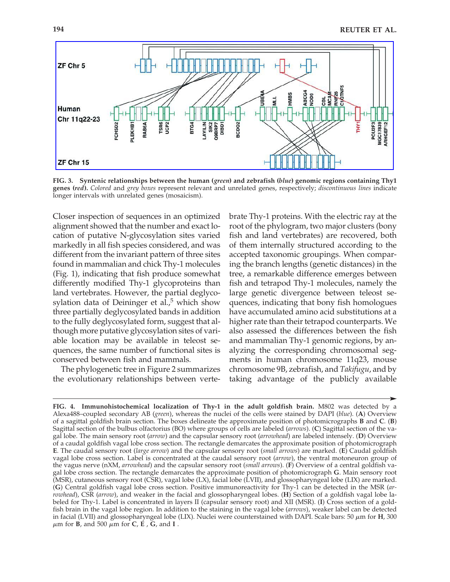

**FIG. 3. Syntenic relationships between the human (***green***) and zebrafish (***blue***) genomic regions containing Thy1 genes (***red***).** *Colored* and *grey boxes* represent relevant and unrelated genes, respectively; *discontinuous lines* indicate longer intervals with unrelated genes (mosaicism).

Closer inspection of sequences in an optimized alignment showed that the number and exact location of putative N-glycosylation sites varied markedly in all fish species considered, and was different from the invariant pattern of three sites found in mammalian and chick Thy-1 molecules (Fig. 1), indicating that fish produce somewhat differently modified Thy-1 glycoproteins than land vertebrates. However, the partial deglycosylation data of Deininger et al., $<sup>5</sup>$  which show</sup> three partially deglycosylated bands in addition to the fully deglycosylated form, suggest that although more putative glycosylation sites of variable location may be available in teleost sequences, the same number of functional sites is conserved between fish and mammals.

The phylogenetic tree in Figure 2 summarizes the evolutionary relationships between vertebrate Thy-1 proteins. With the electric ray at the root of the phylogram, two major clusters (bony fish and land vertebrates) are recovered, both of them internally structured according to the accepted taxonomic groupings. When comparing the branch lengths (genetic distances) in the tree, a remarkable difference emerges between fish and tetrapod Thy-1 molecules, namely the large genetic divergence between teleost sequences, indicating that bony fish homologues have accumulated amino acid substitutions at a higher rate than their tetrapod counterparts. We also assessed the differences between the fish and mammalian Thy-1 genomic regions, by analyzing the corresponding chromosomal segments in human chromosome 11q23, mouse chromosome 9B, zebrafish, and *Takifugu*, and by taking advantage of the publicly available

**FIG. 4. Immunohistochemical localization of Thy-1 in the adult goldfish brain.** M802 was detected by a Alexa488–coupled secondary AB (*green*), whereas the nuclei of the cells were stained by DAPI (*blue*). (**A**) Overview of a sagittal goldfish brain section. The boxes delineate the approximate position of photomicrographs **B** and **C**. (**B**) Sagittal section of the bulbus olfactorius (BO) where groups of cells are labeled (*arrows*). (**C**) Sagittal section of the vagal lobe. The main sensory root (*arrow*) and the capsular sensory root (*arrowhead*) are labeled intensely. (**D**) Overview of a caudal goldfish vagal lobe cross section. The rectangle demarcates the approximate position of photomicrograph **E**. The caudal sensory root (*large arrow*) and the capsular sensory root (*small arrows*) are marked. (**E**) Caudal goldfish vagal lobe cross section. Label is concentrated at the caudal sensory root (*arrow*), the ventral motoneuron group of the vagus nerve (nXM, *arrowhead*) and the capsular sensory root (*small arrows*). (**F**) Overview of a central goldfish vagal lobe cross section. The rectangle demarcates the approximate position of photomicrograph **G**. Main sensory root (MSR), cutaneous sensory root (CSR), vagal lobe (LX), facial lobe (LVII), and glossopharyngeal lobe (LIX) are marked. (**G**) Central goldfish vagal lobe cross section. Positive immunoreactivity for Thy-1 can be detected in the MSR (*arrowhead*), CSR (*arrow*), and weaker in the facial and glossopharyngeal lobes. (**H**) Section of a goldfish vagal lobe labeled for Thy-1. Label is concentrated in layers II (capsular sensory root) and XII (MSR). (**I**) Cross section of a goldfish brain in the vagal lobe region. In addition to the staining in the vagal lobe (*arrows*), weaker label can be detected in facial (LVII) and glossopharyngeal lobe (LIX). Nuclei were counterstained with DAPI. Scale bars: 50  $\mu$ m for **H**, 300  $\mu$ m for **B**, and 500  $\mu$ m for **C**, **E** , **G**, and **I** .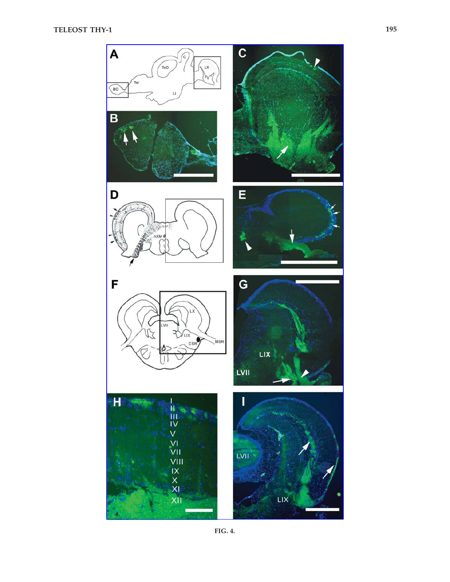

**FIG. 4.**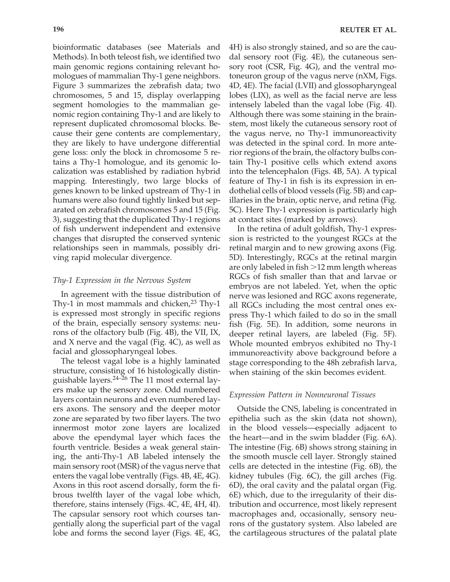bioinformatic databases (see Materials and Methods). In both teleost fish, we identified two main genomic regions containing relevant homologues of mammalian Thy-1 gene neighbors. Figure 3 summarizes the zebrafish data; two chromosomes, 5 and 15, display overlapping segment homologies to the mammalian genomic region containing Thy-1 and are likely to represent duplicated chromosomal blocks. Because their gene contents are complementary, they are likely to have undergone differential gene loss: only the block in chromosome 5 retains a Thy-1 homologue, and its genomic localization was established by radiation hybrid mapping. Interestingly, two large blocks of genes known to be linked upstream of Thy-1 in humans were also found tightly linked but separated on zebrafish chromosomes 5 and 15 (Fig. 3), suggesting that the duplicated Thy-1 regions of fish underwent independent and extensive changes that disrupted the conserved syntenic relationships seen in mammals, possibly dri-

# *Thy-1 Expression in the Nervous System*

ving rapid molecular divergence.

In agreement with the tissue distribution of Thy-1 in most mammals and chicken, $23$  Thy-1 is expressed most strongly in specific regions of the brain, especially sensory systems: neurons of the olfactory bulb (Fig. 4B), the VII, IX, and X nerve and the vagal (Fig. 4C), as well as facial and glossopharyngeal lobes.

The teleost vagal lobe is a highly laminated structure, consisting of 16 histologically distinguishable layers.24–26 The 11 most external layers make up the sensory zone. Odd numbered layers contain neurons and even numbered layers axons. The sensory and the deeper motor zone are separated by two fiber layers. The two innermost motor zone layers are localized above the ependymal layer which faces the fourth ventricle. Besides a weak general staining, the anti-Thy-1 AB labeled intensely the main sensory root (MSR) of the vagus nerve that enters the vagal lobe ventrally (Figs. 4B, 4E, 4G). Axons in this root ascend dorsally, form the fibrous twelfth layer of the vagal lobe which, therefore, stains intensely (Figs. 4C, 4E, 4H, 4I). The capsular sensory root which courses tangentially along the superficial part of the vagal lobe and forms the second layer (Figs. 4E, 4G,

4H) is also strongly stained, and so are the caudal sensory root (Fig. 4E), the cutaneous sensory root (CSR, Fig. 4G), and the ventral motoneuron group of the vagus nerve (nXM, Figs. 4D, 4E). The facial (LVII) and glossopharyngeal lobes (LIX), as well as the facial nerve are less intensely labeled than the vagal lobe (Fig. 4I). Although there was some staining in the brainstem, most likely the cutaneous sensory root of the vagus nerve, no Thy-1 immunoreactivity was detected in the spinal cord. In more anterior regions of the brain, the olfactory bulbs contain Thy-1 positive cells which extend axons into the telencephalon (Figs. 4B, 5A). A typical feature of Thy-1 in fish is its expression in endothelial cells of blood vessels (Fig. 5B) and capillaries in the brain, optic nerve, and retina (Fig. 5C). Here Thy-1 expression is particularly high at contact sites (marked by arrows).

In the retina of adult goldfish, Thy-1 expression is restricted to the youngest RGCs at the retinal margin and to new growing axons (Fig. 5D). Interestingly, RGCs at the retinal margin are only labeled in fish -12 mm length whereas RGCs of fish smaller than that and larvae or embryos are not labeled. Yet, when the optic nerve was lesioned and RGC axons regenerate, all RGCs including the most central ones express Thy-1 which failed to do so in the small fish (Fig. 5E). In addition, some neurons in deeper retinal layers, are labeled (Fig. 5F). Whole mounted embryos exhibited no Thy-1 immunoreactivity above background before a stage corresponding to the 48h zebrafish larva, when staining of the skin becomes evident.

# *Expression Pattern in Nonneuronal Tissues*

Outside the CNS, labeling is concentrated in epithelia such as the skin (data not shown), in the blood vessels—especially adjacent to the heart—and in the swim bladder (Fig. 6A). The intestine (Fig. 6B) shows strong staining in the smooth muscle cell layer. Strongly stained cells are detected in the intestine (Fig. 6B), the kidney tubules (Fig. 6C), the gill arches (Fig. 6D), the oral cavity and the palatal organ (Fig. 6E) which, due to the irregularity of their distribution and occurrence, most likely represent macrophages and, occasionally, sensory neurons of the gustatory system. Also labeled are the cartilageous structures of the palatal plate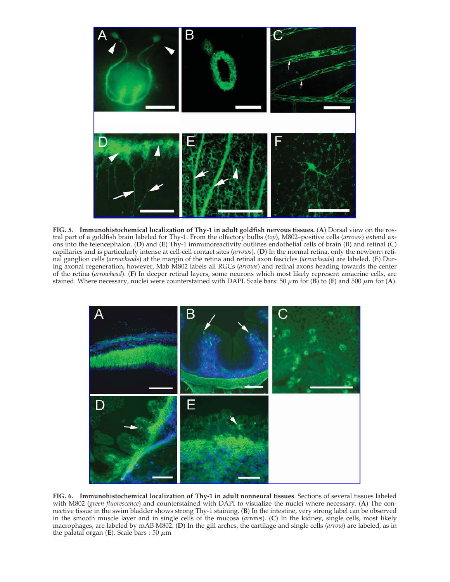

**FIG. 5. Immunohistochemical localization of Thy-1 in adult goldfish nervous tissues.** (**A**) Dorsal view on the rostral part of a goldfish brain labeled for Thy-1. From the olfactory bulbs (*top*), M802–positive cells (*arrows*) extend axons into the telencephalon. (**D**) and (**E**) Thy-1 immunoreactivity outlines endothelial cells of brain (B) and retinal (C) capillaries and is particularly intense at cell-cell contact sites (*arrows*). (**D**) In the normal retina, only the newborn retinal ganglion cells (*arrowheads*) at the margin of the retina and retinal axon fascicles (*arrowheads*) are labeled. (**E**) During axonal regeneration, however, Mab M802 labels all RGCs (*arrows*) and retinal axons heading towards the center of the retina (*arrowhead*). (**F**) In deeper retinal layers, some neurons which most likely represent amacrine cells, are stained. Where necessary, nuclei were counterstained with DAPI. Scale bars: 50  $\mu$ m for (**B**) to (**F**) and 500  $\mu$ m for (**A**).



**FIG. 6. Immunohistochemical localization of Thy-1 in adult nonneural tissues**. Sections of several tissues labeled with M802 (*green fluorescence*) and counterstained with DAPI to visualize the nuclei where necessary. (**A**) The connective tissue in the swim bladder shows strong Thy-1 staining. (**B**) In the intestine, very strong label can be observed in the smooth muscle layer and in single cells of the mucosa (*arrows*). (**C**) In the kidney, single cells, most likely macrophages, are labeled by mAB M802. (**D**) In the gill arches, the cartilage and single cells (*arrow*) are labeled, as in  $\theta$  the palatal organ (**E**). Scale bars : 50  $\mu$ m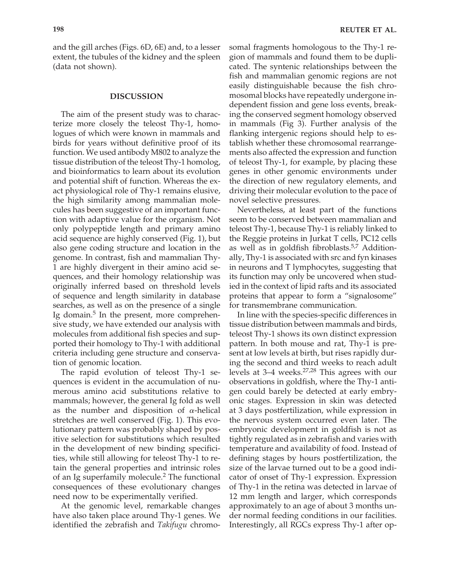and the gill arches (Figs. 6D, 6E) and, to a lesser extent, the tubules of the kidney and the spleen (data not shown).

#### **DISCUSSION**

The aim of the present study was to characterize more closely the teleost Thy-1, homologues of which were known in mammals and birds for years without definitive proof of its function. We used antibody M802 to analyze the tissue distribution of the teleost Thy-1 homolog, and bioinformatics to learn about its evolution and potential shift of function. Whereas the exact physiological role of Thy-1 remains elusive, the high similarity among mammalian molecules has been suggestive of an important function with adaptive value for the organism. Not only polypeptide length and primary amino acid sequence are highly conserved (Fig. 1), but also gene coding structure and location in the genome. In contrast, fish and mammalian Thy-1 are highly divergent in their amino acid sequences, and their homology relationship was originally inferred based on threshold levels of sequence and length similarity in database searches, as well as on the presence of a single Ig domain.<sup>5</sup> In the present, more comprehensive study, we have extended our analysis with molecules from additional fish species and supported their homology to Thy-1 with additional criteria including gene structure and conservation of genomic location.

The rapid evolution of teleost Thy-1 sequences is evident in the accumulation of numerous amino acid substitutions relative to mammals; however, the general Ig fold as well as the number and disposition of  $\alpha$ -helical stretches are well conserved (Fig. 1). This evolutionary pattern was probably shaped by positive selection for substitutions which resulted in the development of new binding specificities, while still allowing for teleost Thy-1 to retain the general properties and intrinsic roles of an Ig superfamily molecule.<sup>2</sup> The functional consequences of these evolutionary changes need now to be experimentally verified.

At the genomic level, remarkable changes have also taken place around Thy-1 genes. We identified the zebrafish and *Takifugu* chromosomal fragments homologous to the Thy-1 region of mammals and found them to be duplicated. The syntenic relationships between the fish and mammalian genomic regions are not easily distinguishable because the fish chromosomal blocks have repeatedly undergone independent fission and gene loss events, breaking the conserved segment homology observed in mammals (Fig 3). Further analysis of the flanking intergenic regions should help to establish whether these chromosomal rearrangements also affected the expression and function of teleost Thy-1, for example, by placing these genes in other genomic environments under the direction of new regulatory elements, and driving their molecular evolution to the pace of novel selective pressures.

Nevertheless, at least part of the functions seem to be conserved between mammalian and teleost Thy-1, because Thy-1 is reliably linked to the Reggie proteins in Jurkat T cells, PC12 cells as well as in goldfish fibroblasts.<sup>5,7</sup> Additionally, Thy-1 is associated with src and fyn kinases in neurons and T lymphocytes, suggesting that its function may only be uncovered when studied in the context of lipid rafts and its associated proteins that appear to form a "signalosome" for transmembrane communication.

In line with the species-specific differences in tissue distribution between mammals and birds, teleost Thy-1 shows its own distinct expression pattern. In both mouse and rat, Thy-1 is present at low levels at birth, but rises rapidly during the second and third weeks to reach adult levels at 3–4 weeks.27,28 This agrees with our observations in goldfish, where the Thy-1 antigen could barely be detected at early embryonic stages. Expression in skin was detected at 3 days postfertilization, while expression in the nervous system occurred even later. The embryonic development in goldfish is not as tightly regulated as in zebrafish and varies with temperature and availability of food. Instead of defining stages by hours postfertilization, the size of the larvae turned out to be a good indicator of onset of Thy-1 expression. Expression of Thy-1 in the retina was detected in larvae of 12 mm length and larger, which corresponds approximately to an age of about 3 months under normal feeding conditions in our facilities. Interestingly, all RGCs express Thy-1 after op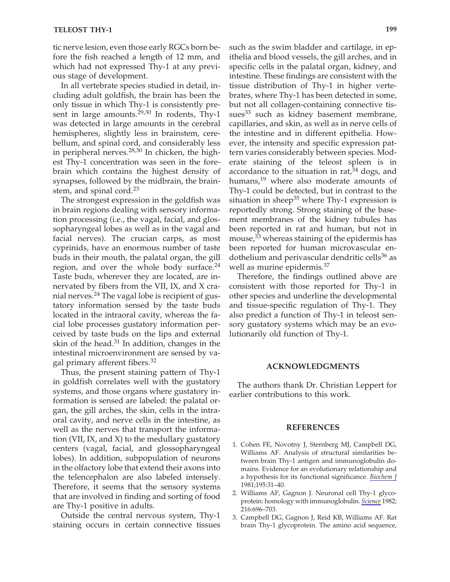tic nerve lesion, even those early RGCs born before the fish reached a length of 12 mm, and which had not expressed Thy-1 at any previous stage of development.

In all vertebrate species studied in detail, including adult goldfish, the brain has been the only tissue in which Thy-1 is consistently present in large amounts. $29,30$  In rodents, Thy-1 was detected in large amounts in the cerebral hemispheres, slightly less in brainstem, cerebellum, and spinal cord, and considerably less in peripheral nerves. $28,30$  In chicken, the highest Thy-1 concentration was seen in the forebrain which contains the highest density of synapses, followed by the midbrain, the brainstem, and spinal cord.<sup>23</sup>

The strongest expression in the goldfish was in brain regions dealing with sensory information processing (i.e., the vagal, facial, and glossopharyngeal lobes as well as in the vagal and facial nerves). The crucian carps, as most cyprinids, have an enormous number of taste buds in their mouth, the palatal organ, the gill region, and over the whole body surface. $24$ Taste buds, wherever they are located, are innervated by fibers from the VII, IX, and X cranial nerves.<sup>24</sup> The vagal lobe is recipient of gustatory information sensed by the taste buds located in the intraoral cavity, whereas the facial lobe processes gustatory information perceived by taste buds on the lips and external skin of the head. $31$  In addition, changes in the intestinal microenvironment are sensed by vagal primary afferent fibers.<sup>32</sup>

Thus, the present staining pattern of Thy-1 in goldfish correlates well with the gustatory systems, and those organs where gustatory information is sensed are labeled: the palatal organ, the gill arches, the skin, cells in the intraoral cavity, and nerve cells in the intestine, as well as the nerves that transport the information (VII, IX, and X) to the medullary gustatory centers (vagal, facial, and glossopharyngeal lobes). In addition, subpopulation of neurons in the olfactory lobe that extend their axons into the telencephalon are also labeled intensely. Therefore, it seems that the sensory systems that are involved in finding and sorting of food are Thy-1 positive in adults.

Outside the central nervous system, Thy-1 staining occurs in certain connective tissues

such as the swim bladder and cartilage, in epithelia and blood vessels, the gill arches, and in specific cells in the palatal organ, kidney, and intestine. These findings are consistent with the tissue distribution of Thy-1 in higher vertebrates, where Thy-1 has been detected in some, but not all collagen-containing connective tissues $33$  such as kidney basement membrane, capillaries, and skin, as well as in nerve cells of the intestine and in different epithelia. However, the intensity and specific expression pattern varies considerably between species. Moderate staining of the teleost spleen is in accordance to the situation in rat, $34$  dogs, and humans,<sup>19</sup> where also moderate amounts of Thy-1 could be detected, but in contrast to the situation in sheep<sup>35</sup> where Thy-1 expression is reportedly strong. Strong staining of the basement membranes of the kidney tubules has been reported in rat and human, but not in mouse, $33$  whereas staining of the epidermis has been reported for human microvascular endothelium and perivascular dendritic cells<sup>36</sup> as well as murine epidermis.<sup>37</sup>

Therefore, the findings outlined above are consistent with those reported for Thy-1 in other species and underline the developmental and tissue-specific regulation of Thy-1. They also predict a function of Thy-1 in teleost sensory gustatory systems which may be an evolutionarily old function of Thy-1.

# **ACKNOWLEDGMENTS**

The authors thank Dr. Christian Leppert for earlier contributions to this work.

#### **REFERENCES**

- 1. Cohen FE, Novotny J, Sternberg MJ, Campbell DG, Williams AF. Analysis of structural similarities between brain Thy-1 antigen and immunoglobulin domains. Evidence for an evolutionary relationship and a hypothesis for its functional significance. *Biochem J* 1981;195:31–40.
- 2. Williams AF, Gagnon J. Neuronal cell Thy-1 glycoprotein: homology with immunoglobulin. *Science* 1982; 216:696–703.
- 3. Campbell DG, Gagnon J, Reid KB, Williams AF. Rat brain Thy-1 glycoprotein. The amino acid sequence,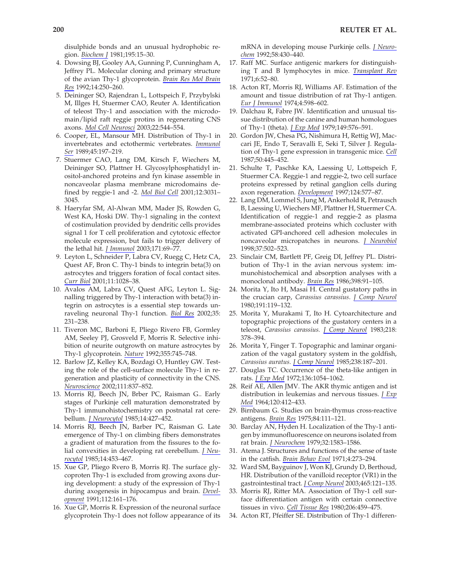disulphide bonds and an unusual hydrophobic region. *Biochem J* 1981;195:15–30.

- 4. Dowsing BJ, Gooley AA, Gunning P, Cunningham A, Jeffrey PL. Molecular cloning and primary structure of the avian Thy-1 glycoprotein. *Brain Res Mol Brain Res* 1992;14:250–260.
- 5. Deininger SO, Rajendran L, Lottspeich F, Przybylski M, Illges H, Stuermer CAO, Reuter A. Identification of teleost Thy-1 and association with the microdomain/lipid raft reggie protins in regenerating CNS axons. *Mol Cell Neurosci* 2003;22:544–554.
- 6. Cooper, EL, Mansour MH. Distribution of Thy-1 in invertebrates and ectothermic vertebrates. *Immunol Ser* 1989;45:197–219.
- 7. Stuermer CAO, Lang DM, Kirsch F, Wiechers M, Deininger SO, Plattner H. Glycosylphosphatidyl inositol-anchored proteins and fyn kinase assemble in noncaveolar plasma membrane microdomains defined by reggie-1 and -2. *Mol Biol Cell* 2001;12:3031– 3045.
- 8. Haeryfar SM, Al-Alwan MM, Mader JS, Rowden G, West KA, Hoski DW. Thy-1 signaling in the context of costimulation provided by dendritic cells provides signal 1 for T cell proliferation and cytotoxic effector molecule expression, but fails to trigger delivery of the lethal hit. *J Immunol* 2003;171:69–77.
- 9. Leyton L, Schneider P, Labra CV, Ruegg C, Hetz CA, Quest AF, Bron C. Thy-1 binds to integrin beta(3) on astrocytes and triggers foration of focal contact sites. *Curr Biol* 2001;11:1028–38.
- 10. Avalos AM, Labra CV, Quest AFG, Leyton L. Signalling triggered by Thy-1 interaction with beta(3) integrin on astrocytes is a essential step towards unraveling neuronal Thy-1 function. *Biol Res* 2002;35: 231–238.
- 11. Tiveron MC, Barboni E, Pliego Rivero FB, Gormley AM, Seeley PJ, Grosveld F, Morris R. Selective inhibition of neurite outgrowth on mature astrocytes by Thy-1 glycoprotein. *Nature* 1992;355:745–748.
- 12. Barlow JZ, Kelley KA, Bozdagi O, Huntley GW. Testing the role of the cell-surface molecule Thy-1 in regeneration and plasticity of connectivity in the CNS. *Neuroscience* 2002;111:837–852.
- 13. Morris RJ, Beech JN, Brber PC, Raisman G.. Early stages of Purkinje cell maturation demonstrated by Thy-1 immunohistochemistry on postnatal rat cerebellum. *J Neurocytol* 1985;14:427–452.
- 14. Morris RJ, Beech JN, Barber PC, Raisman G. Late emergence of Thy-1 on climbing fibers demonstrates a gradient of maturation from the fissures to the folial convexities in developing rat cerebellum. *J Neurocytol* 1985;14:453–467.
- 15. Xue GP, Pliego Rvero B, Morris RJ. The surface glycoproten Thy-1 is excluded from growing axons during development: a study of the expression of Thy-1 during axogenesis in hipocampus and brain. *Development* 1991;112:161–176.
- 16. Xue GP, Morris R. Expression of the neuronal surface glycoprotein Thy-1 does not follow appearance of its

mRNA in developing mouse Purkinje cells. *J Neurochem* 1992;58:430–440.

- 17. Raff MC. Surface antigenic markers for distinguishing T and B lymphocytes in mice. *Transplant Rev* 1971;6:52–80.
- 18. Acton RT, Morris RJ, Williams AF. Estimation of the amount and tissue distribution of rat Thy-1 antigen. *Eur J Immunol* 1974;4:598–602.
- 19. Dalchau R, Fabre JW. Identification and unusual tissue distribution of the canine and human homologues of Thy-1 (theta). *J Exp Med* 1979;149:576–591.
- 20. Gordon JW, Chesa PG, Nishimura H, Rettig WJ, Maccari JE, Endo T, Seravalli E, Seki T, Silver J. Regulation of Thy-1 gene expression in transgenic mice. *Cell* 1987;50:445–452.
- 21. Schulte T, Paschke KA, Laessing U, Lottspeich F, Stuermer CA. Reggie-1 and reggie-2, two cell surface proteins expressed by retinal ganglion cells during axon regeneration. *Development* 1997;124:577–87.
- 22. Lang DM, Lommel S, Jung M, Ankerhold R, Petrausch B, Laessing U, Wiechers MF, Plattner H, Stuermer CA. Identification of reggie-1 and reggie-2 as plasma membrane-associated proteins which cocluster with activated GPI-anchored cell adhesion molecules in noncaveolar micropatches in neurons. *J Neurobiol* 1998;37:502–523.
- 23. Sinclair CM, Bartlett PF, Greig DI, Jeffrey PL. Distribution of Thy-1 in the avian nervous system: immunohistochemical and absorption analyses with a monoclonal antibody. *Brain Res* 1986;398:91–105.
- 24. Morita Y, Ito H, Masai H. Central gustatory paths in the crucian carp, *Carassius carassius*. *J Comp Neurol* 1980;191:119–132.
- 25. Morita Y, Murakami T, Ito H. Cytoarchitecture and topographic projections of the gustatory centers in a teleost, *Carassius carassius. J Comp Neurol* 1983;218: 378–394.
- 26. Morita Y, Finger T. Topographic and laminar organization of the vagal gustatory system in the goldfish, *Carassius auratus. J Comp Neurol* 1985;238:187–201.
- 27. Douglas TC. Occurrence of the theta-like antigen in rats. *J Exp Med* 1972;136:1054–1062.
- 28. Reif AE, Allen JMV. The AKR thymic antigen and ist distribution in leukemias and nervous tissues. *J Exp Med* 1964;120:412–433.
- 29. Birnbaum G. Studies on brain-thymus cross-reactive antigens. *Brain Res* 1975;84:111–121.
- 30. Barclay AN, Hyden H. Localization of the Thy-1 antigen by immunofluorescence on neurons isolated from rat brain. *J Neurochem* 1979;32:1583–1586.
- 31. Atema J. Structures and functions of the sense of taste in the catfish. *Brain Behav Evol* 1971;4:273–294.
- 32. Ward SM, Bayguinov J, Won KJ, Grundy D, Berthoud, HR. Distribution of the vanilloid receptor (VR1) in the gastrointestinal tract. *J Comp Neurol* 2003;465:121–135.
- 33. Morris RJ, Ritter MA. Association of Thy-1 cell surface differentiation antigen with certain connective tissues in vivo. *Cell Tissue Res* 1980;206:459–475.
- 34. Acton RT, Pfeiffer SE. Distribution of Thy-1 differen-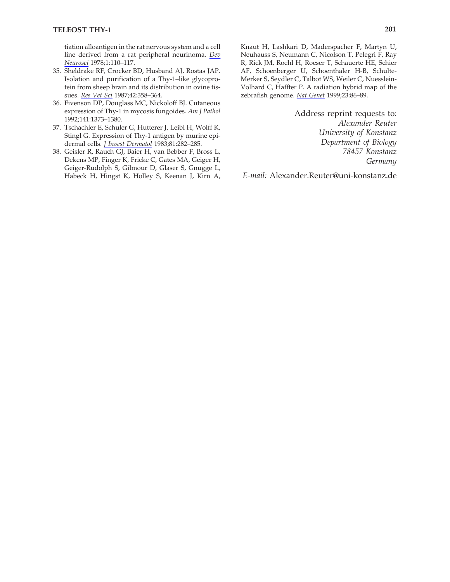tiation alloantigen in the rat nervous system and a cell line derived from a rat peripheral neurinoma. *Dev Neurosci* 1978;1:110–117.

- 35. Sheldrake RF, Crocker BD, Husband AJ, Rostas JAP. Isolation and purification of a Thy-1–like glycoprotein from sheep brain and its distribution in ovine tissues. *Res Vet Sci* 1987;42:358–364.
- 36. Fivenson DP, Douglass MC, Nickoloff BJ. Cutaneous expression of Thy-1 in mycosis fungoides. *Am J Pathol* 1992;141:1373–1380.
- 37. Tschachler E, Schuler G, Hutterer J, Leibl H, Wolff K, Stingl G. Expression of Thy-1 antigen by murine epidermal cells. *J Invest Dermatol* 1983;81:282–285.
- 38. Geisler R, Rauch GJ, Baier H, van Bebber F, Bross L, Dekens MP, Finger K, Fricke C, Gates MA, Geiger H, Geiger-Rudolph S, Gilmour D, Glaser S, Gnugge L, Habeck H, Hingst K, Holley S, Keenan J, Kirn A,

Knaut H, Lashkari D, Maderspacher F, Martyn U, Neuhauss S, Neumann C, Nicolson T, Pelegri F, Ray R, Rick JM, Roehl H, Roeser T, Schauerte HE, Schier AF, Schoenberger U, Schoenthaler H-B, Schulte-Merker S, Seydler C, Talbot WS, Weiler C, Nuesslein-Volhard C, Haffter P. A radiation hybrid map of the zebrafish genome. *Nat Genet* 1999;23:86–89.

> Address reprint requests to: *Alexander Reuter University of Konstanz Department of Biology 78457 Konstanz Germany*

*E-mail:* Alexander.Reuter@uni-konstanz.de